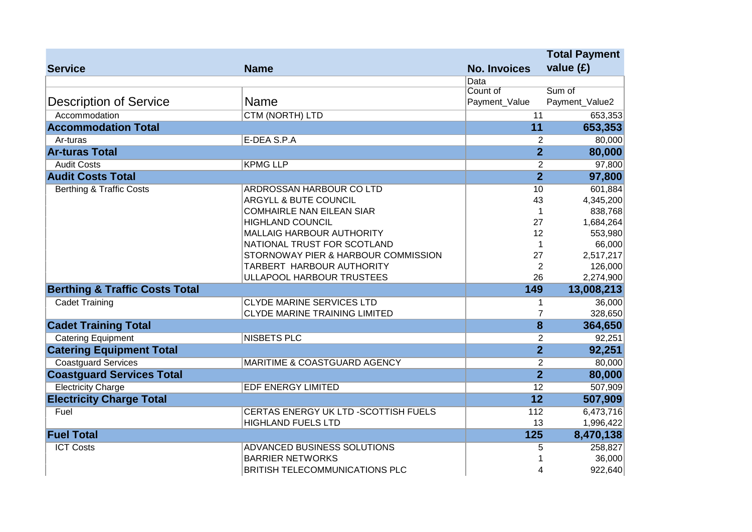|                                           |                                         |                     | <b>Total Payment</b>      |  |
|-------------------------------------------|-----------------------------------------|---------------------|---------------------------|--|
| <b>Service</b>                            | <b>Name</b>                             | <b>No. Invoices</b> | value $(E)$               |  |
|                                           |                                         | Data                |                           |  |
|                                           |                                         | Count of            | Sum of                    |  |
| <b>Description of Service</b>             | <b>Name</b>                             | Payment_Value       | Payment_Value2            |  |
| Accommodation                             | <b>CTM (NORTH) LTD</b>                  | 11                  | 653,353                   |  |
| <b>Accommodation Total</b>                |                                         | 11                  | 653,353                   |  |
| Ar-turas                                  | E-DEA S.P.A                             |                     | $\overline{2}$<br>80,000  |  |
| <b>Ar-turas Total</b>                     |                                         |                     | $\overline{2}$<br>80,000  |  |
| <b>Audit Costs</b>                        | <b>KPMG LLP</b>                         |                     | 97,800<br>$\overline{2}$  |  |
| <b>Audit Costs Total</b>                  |                                         |                     | $\overline{2}$<br>97,800  |  |
| <b>Berthing &amp; Traffic Costs</b>       | <b>ARDROSSAN HARBOUR CO LTD</b>         | 10                  | 601,884                   |  |
|                                           | <b>ARGYLL &amp; BUTE COUNCIL</b>        | 43                  | 4,345,200                 |  |
|                                           | <b>COMHAIRLE NAN EILEAN SIAR</b>        |                     | 838,768<br>$\mathbf{1}$   |  |
|                                           | <b>HIGHLAND COUNCIL</b>                 | 27                  | 1,684,264                 |  |
|                                           | <b>MALLAIG HARBOUR AUTHORITY</b>        | 12                  | 553,980                   |  |
|                                           | NATIONAL TRUST FOR SCOTLAND             |                     | 66,000<br>$\mathbf{1}$    |  |
|                                           | STORNOWAY PIER & HARBOUR COMMISSION     | 27                  | 2,517,217                 |  |
|                                           | TARBERT HARBOUR AUTHORITY               |                     | $\overline{2}$<br>126,000 |  |
|                                           | ULLAPOOL HARBOUR TRUSTEES               | 26                  | 2,274,900                 |  |
| <b>Berthing &amp; Traffic Costs Total</b> |                                         | 149                 | 13,008,213                |  |
| <b>Cadet Training</b>                     | <b>CLYDE MARINE SERVICES LTD</b>        |                     | 36,000<br>$\mathbf{1}$    |  |
|                                           | <b>CLYDE MARINE TRAINING LIMITED</b>    |                     | $\overline{7}$<br>328,650 |  |
| <b>Cadet Training Total</b>               |                                         |                     | $\overline{8}$<br>364,650 |  |
| <b>Catering Equipment</b>                 | <b>NISBETS PLC</b>                      |                     | 92,251<br>$\overline{2}$  |  |
| <b>Catering Equipment Total</b>           |                                         |                     | $\overline{2}$<br>92,251  |  |
| <b>Coastguard Services</b>                | <b>MARITIME &amp; COASTGUARD AGENCY</b> |                     | $\overline{2}$<br>80,000  |  |
| <b>Coastguard Services Total</b>          |                                         |                     | $\overline{2}$<br>80,000  |  |
| <b>Electricity Charge</b>                 | <b>EDF ENERGY LIMITED</b>               | 12                  | 507,909                   |  |
| <b>Electricity Charge Total</b>           |                                         | 12                  | 507,909                   |  |
| Fuel                                      | CERTAS ENERGY UK LTD - SCOTTISH FUELS   | 112                 | 6,473,716                 |  |
|                                           | <b>HIGHLAND FUELS LTD</b>               | 13                  | 1,996,422                 |  |
| <b>Fuel Total</b>                         |                                         | 125                 | 8,470,138                 |  |
| <b>ICT Costs</b>                          | ADVANCED BUSINESS SOLUTIONS             |                     | 258,827<br>5              |  |
|                                           | <b>BARRIER NETWORKS</b>                 |                     | 36,000<br>1               |  |
|                                           | <b>BRITISH TELECOMMUNICATIONS PLC</b>   |                     | 922,640<br>4              |  |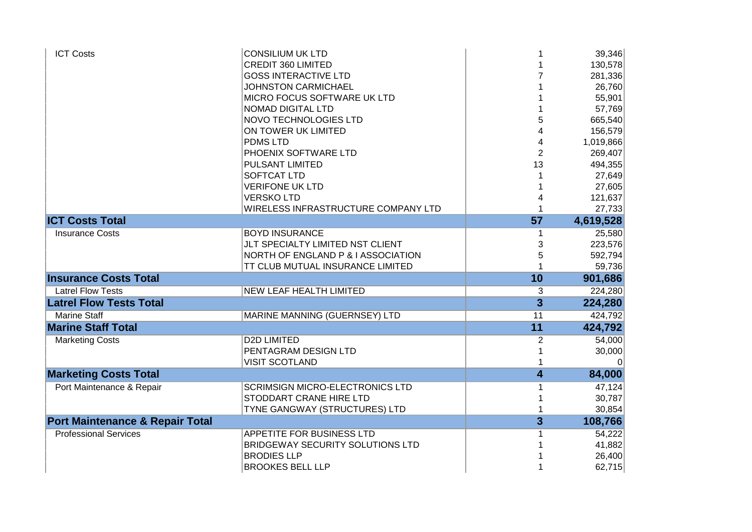| <b>ICT Costs</b>                           | <b>CONSILIUM UK LTD</b>                |                | 39,346    |
|--------------------------------------------|----------------------------------------|----------------|-----------|
|                                            | <b>CREDIT 360 LIMITED</b>              |                | 130,578   |
|                                            | <b>GOSS INTERACTIVE LTD</b>            |                | 281,336   |
|                                            | JOHNSTON CARMICHAEL                    |                | 26,760    |
|                                            | MICRO FOCUS SOFTWARE UK LTD            |                | 55,901    |
|                                            | NOMAD DIGITAL LTD                      |                | 57,769    |
|                                            | NOVO TECHNOLOGIES LTD                  | 5              | 665,540   |
|                                            | ON TOWER UK LIMITED                    |                | 156,579   |
|                                            | <b>PDMSLTD</b>                         | 4              | 1,019,866 |
|                                            | PHOENIX SOFTWARE LTD                   | $\overline{2}$ | 269,407   |
|                                            | <b>PULSANT LIMITED</b>                 | 13             | 494,355   |
|                                            | <b>SOFTCAT LTD</b>                     |                | 27,649    |
|                                            | <b>VERIFONE UK LTD</b>                 |                | 27,605    |
|                                            | <b>VERSKOLTD</b>                       |                | 121,637   |
|                                            | WIRELESS INFRASTRUCTURE COMPANY LTD    |                | 27,733    |
| <b>ICT Costs Total</b>                     |                                        | 57             | 4,619,528 |
| <b>Insurance Costs</b>                     | <b>BOYD INSURANCE</b>                  |                | 25,580    |
|                                            | JLT SPECIALTY LIMITED NST CLIENT       | 3              | 223,576   |
|                                            | NORTH OF ENGLAND P & I ASSOCIATION     | 5              | 592,794   |
|                                            | TT CLUB MUTUAL INSURANCE LIMITED       |                | 59,736    |
| <b>Insurance Costs Total</b>               |                                        | 10             | 901,686   |
| <b>Latrel Flow Tests</b>                   | NEW LEAF HEALTH LIMITED                | 3              | 224,280   |
| <b>Latrel Flow Tests Total</b>             |                                        | $\overline{3}$ | 224,280   |
| <b>Marine Staff</b>                        | MARINE MANNING (GUERNSEY) LTD          | 11             | 424,792   |
| <b>Marine Staff Total</b>                  |                                        | 11             | 424,792   |
| <b>Marketing Costs</b>                     | <b>D2D LIMITED</b>                     | $\overline{c}$ | 54,000    |
|                                            | PENTAGRAM DESIGN LTD                   |                | 30,000    |
|                                            | <b>VISIT SCOTLAND</b>                  |                | $\Omega$  |
| <b>Marketing Costs Total</b>               |                                        | 4              | 84,000    |
| Port Maintenance & Repair                  | <b>SCRIMSIGN MICRO-ELECTRONICS LTD</b> | 1              | 47,124    |
|                                            | STODDART CRANE HIRE LTD                |                | 30,787    |
|                                            | TYNE GANGWAY (STRUCTURES) LTD          |                | 30,854    |
| <b>Port Maintenance &amp; Repair Total</b> |                                        | $\overline{3}$ | 108,766   |
| <b>Professional Services</b>               | APPETITE FOR BUSINESS LTD              |                | 54,222    |
|                                            | BRIDGEWAY SECURITY SOLUTIONS LTD       |                | 41,882    |
|                                            | <b>BRODIES LLP</b>                     |                | 26,400    |
|                                            |                                        |                |           |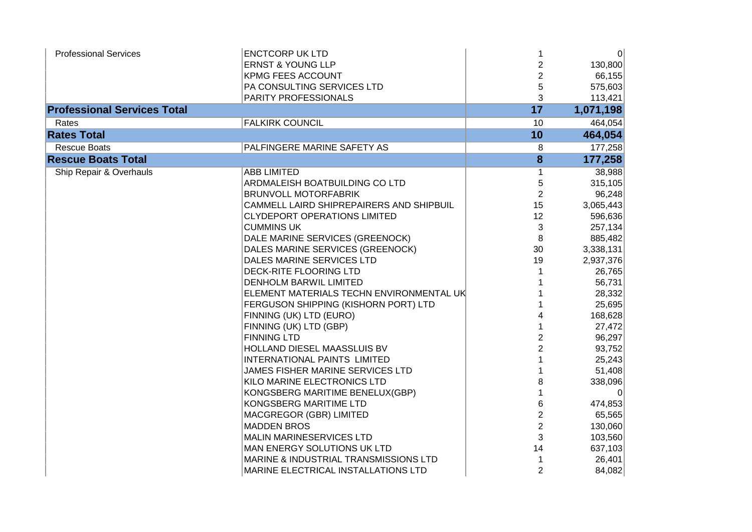| <b>Professional Services</b>       | <b>ENCTCORP UK LTD</b>                   | 1                       | 0         |
|------------------------------------|------------------------------------------|-------------------------|-----------|
|                                    | <b>ERNST &amp; YOUNG LLP</b>             | $\overline{c}$          | 130,800   |
|                                    | <b>KPMG FEES ACCOUNT</b>                 | $\overline{\mathbf{c}}$ | 66,155    |
|                                    | PA CONSULTING SERVICES LTD               | 5                       | 575,603   |
|                                    | PARITY PROFESSIONALS                     | 3                       | 113,421   |
| <b>Professional Services Total</b> |                                          | 17                      | 1,071,198 |
| Rates                              | <b>FALKIRK COUNCIL</b>                   | 10                      | 464,054   |
| <b>Rates Total</b>                 |                                          | 10                      | 464,054   |
| <b>Rescue Boats</b>                | PALFINGERE MARINE SAFETY AS              | 8                       | 177,258   |
| <b>Rescue Boats Total</b>          |                                          | 8                       | 177,258   |
| Ship Repair & Overhauls            | <b>ABB LIMITED</b>                       | 1                       | 38,988    |
|                                    | ARDMALEISH BOATBUILDING CO LTD           | 5                       | 315,105   |
|                                    | <b>BRUNVOLL MOTORFABRIK</b>              | $\overline{2}$          | 96,248    |
|                                    | CAMMELL LAIRD SHIPREPAIRERS AND SHIPBUIL | 15                      | 3,065,443 |
|                                    | <b>CLYDEPORT OPERATIONS LIMITED</b>      | 12                      | 596,636   |
|                                    | <b>CUMMINS UK</b>                        | 3                       | 257,134   |
|                                    | DALE MARINE SERVICES (GREENOCK)          | 8                       | 885,482   |
|                                    | DALES MARINE SERVICES (GREENOCK)         | 30                      | 3,338,131 |
|                                    | DALES MARINE SERVICES LTD                | 19                      | 2,937,376 |
|                                    | DECK-RITE FLOORING LTD                   |                         | 26,765    |
|                                    | <b>DENHOLM BARWIL LIMITED</b>            |                         | 56,731    |
|                                    | ELEMENT MATERIALS TECHN ENVIRONMENTAL UK |                         | 28,332    |
|                                    | FERGUSON SHIPPING (KISHORN PORT) LTD     |                         | 25,695    |
|                                    | FINNING (UK) LTD (EURO)                  |                         | 168,628   |
|                                    | FINNING (UK) LTD (GBP)                   | 1                       | 27,472    |
|                                    | <b>FINNING LTD</b>                       | $\overline{2}$          | 96,297    |
|                                    | HOLLAND DIESEL MAASSLUIS BV              | $\overline{2}$          | 93,752    |
|                                    | <b>INTERNATIONAL PAINTS LIMITED</b>      |                         | 25,243    |
|                                    | JAMES FISHER MARINE SERVICES LTD         |                         | 51,408    |
|                                    | KILO MARINE ELECTRONICS LTD              | 8                       | 338,096   |
|                                    | KONGSBERG MARITIME BENELUX(GBP)          |                         | $\Omega$  |
|                                    | KONGSBERG MARITIME LTD                   | 6                       | 474,853   |
|                                    | <b>MACGREGOR (GBR) LIMITED</b>           | $\overline{2}$          | 65,565    |
|                                    | <b>MADDEN BROS</b>                       | $\overline{2}$          | 130,060   |
|                                    | <b>MALIN MARINESERVICES LTD</b>          | 3                       | 103,560   |
|                                    | MAN ENERGY SOLUTIONS UK LTD              | 14                      | 637,103   |
|                                    | MARINE & INDUSTRIAL TRANSMISSIONS LTD    |                         | 26,401    |
|                                    | MARINE ELECTRICAL INSTALLATIONS LTD      | $\overline{2}$          | 84,082    |